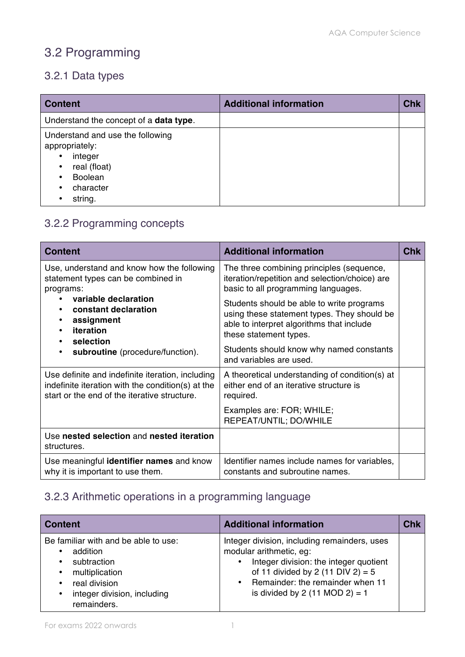# 3.2 Programming

### 3.2.1 Data types

| <b>Content</b>                                                                                                          | <b>Additional information</b> | <b>Chk</b> |
|-------------------------------------------------------------------------------------------------------------------------|-------------------------------|------------|
| Understand the concept of a <b>data type</b> .                                                                          |                               |            |
| Understand and use the following<br>appropriately:<br>integer<br>real (float)<br><b>Boolean</b><br>character<br>string. |                               |            |

## 3.2.2 Programming concepts

| <b>Content</b>                                                                                                                                        | <b>Additional information</b>                                                                                                                                   | Chk |
|-------------------------------------------------------------------------------------------------------------------------------------------------------|-----------------------------------------------------------------------------------------------------------------------------------------------------------------|-----|
| Use, understand and know how the following<br>statement types can be combined in<br>programs:                                                         | The three combining principles (sequence,<br>iteration/repetition and selection/choice) are<br>basic to all programming languages.                              |     |
| variable declaration<br>constant declaration<br>assignment<br>iteration<br>selection                                                                  | Students should be able to write programs<br>using these statement types. They should be<br>able to interpret algorithms that include<br>these statement types. |     |
| subroutine (procedure/function).<br>$\bullet$                                                                                                         | Students should know why named constants<br>and variables are used.                                                                                             |     |
| Use definite and indefinite iteration, including<br>indefinite iteration with the condition(s) at the<br>start or the end of the iterative structure. | A theoretical understanding of condition(s) at<br>either end of an iterative structure is<br>required.                                                          |     |
|                                                                                                                                                       | Examples are: FOR; WHILE;<br>REPEAT/UNTIL; DO/WHILE                                                                                                             |     |
| Use nested selection and nested iteration<br>structures.                                                                                              |                                                                                                                                                                 |     |
| Use meaningful identifier names and know<br>why it is important to use them.                                                                          | Identifier names include names for variables,<br>constants and subroutine names.                                                                                |     |

## 3.2.3 Arithmetic operations in a programming language

| <b>Content</b>                                                                                                                                                                       | <b>Additional information</b>                                                                                                                                                                                                      | <b>Chk</b> |
|--------------------------------------------------------------------------------------------------------------------------------------------------------------------------------------|------------------------------------------------------------------------------------------------------------------------------------------------------------------------------------------------------------------------------------|------------|
| Be familiar with and be able to use:<br>addition<br>$\bullet$<br>subtraction<br>multiplication<br>$\bullet$<br>real division<br>٠<br>integer division, including<br>٠<br>remainders. | Integer division, including remainders, uses<br>modular arithmetic, eg:<br>Integer division: the integer quotient<br>of 11 divided by 2 (11 DIV 2) = $5$<br>• Remainder: the remainder when 11<br>is divided by 2 (11 MOD 2) = $1$ |            |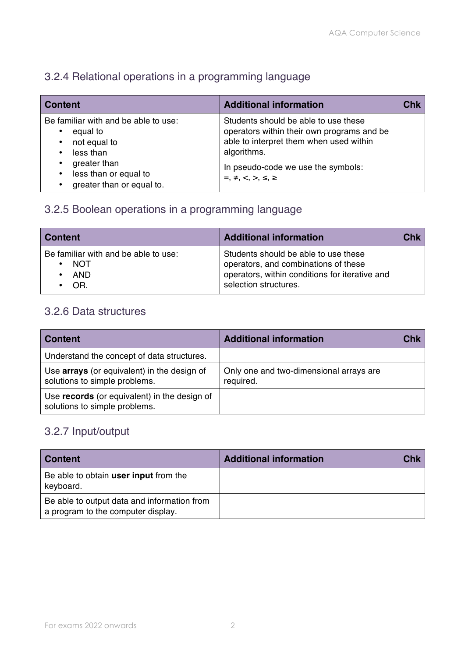### 3.2.4 Relational operations in a programming language

| <b>Content</b>                                                                                                                                                                             | <b>Additional information</b>                                                                                                                                                                                        | <b>Chk</b> |
|--------------------------------------------------------------------------------------------------------------------------------------------------------------------------------------------|----------------------------------------------------------------------------------------------------------------------------------------------------------------------------------------------------------------------|------------|
| Be familiar with and be able to use:<br>equal to<br>$\bullet$<br>not equal to<br>less than<br>$\bullet$<br>greater than<br>less than or equal to<br>$\bullet$<br>greater than or equal to. | Students should be able to use these<br>operators within their own programs and be<br>able to interpret them when used within<br>algorithms.<br>In pseudo-code we use the symbols:<br>$=, \neq, \leq, >, \leq, \geq$ |            |

### 3.2.5 Boolean operations in a programming language

| ∣ Content                                                         | <b>Additional information</b>                                                                                                                           | $\mathcal{L}$ hk |
|-------------------------------------------------------------------|---------------------------------------------------------------------------------------------------------------------------------------------------------|------------------|
| Be familiar with and be able to use:<br><b>NOT</b><br>AND.<br>OR. | Students should be able to use these<br>operators, and combinations of these<br>operators, within conditions for iterative and<br>selection structures. |                  |

#### 3.2.6 Data structures

| <b>Content</b>                                                                | <b>Additional information</b>                        | Chk |
|-------------------------------------------------------------------------------|------------------------------------------------------|-----|
| Understand the concept of data structures.                                    |                                                      |     |
| Use arrays (or equivalent) in the design of<br>solutions to simple problems.  | Only one and two-dimensional arrays are<br>required. |     |
| Use records (or equivalent) in the design of<br>solutions to simple problems. |                                                      |     |

#### 3.2.7 Input/output

| <b>Content</b>                                                                    | <b>Additional information</b> |  |
|-----------------------------------------------------------------------------------|-------------------------------|--|
| Be able to obtain user input from the<br>keyboard.                                |                               |  |
| Be able to output data and information from<br>a program to the computer display. |                               |  |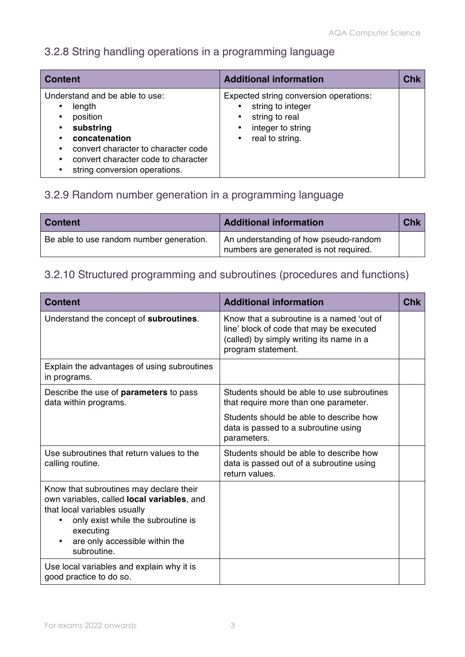## 3.2.8 String handling operations in a programming language

| <b>Content</b>                                                                                                                                                                                    | <b>Additional information</b>                                                                                                      | Chk |
|---------------------------------------------------------------------------------------------------------------------------------------------------------------------------------------------------|------------------------------------------------------------------------------------------------------------------------------------|-----|
| Understand and be able to use:<br>length<br>position<br>substring<br>concatenation<br>convert character to character code<br>convert character code to character<br>string conversion operations. | Expected string conversion operations:<br>string to integer<br>string to real<br>integer to string<br>real to string.<br>$\bullet$ |     |

## 3.2.9 Random number generation in a programming language

| ∣ Content                                | <b>Additional information</b>                                                   | <b>Chk</b> |
|------------------------------------------|---------------------------------------------------------------------------------|------------|
| Be able to use random number generation. | An understanding of how pseudo-random<br>numbers are generated is not required. |            |

## 3.2.10 Structured programming and subroutines (procedures and functions)

| <b>Content</b>                                                                                                                                                                                                                    | <b>Additional information</b>                                                                                                                           | <b>Chk</b> |
|-----------------------------------------------------------------------------------------------------------------------------------------------------------------------------------------------------------------------------------|---------------------------------------------------------------------------------------------------------------------------------------------------------|------------|
| Understand the concept of subroutines.                                                                                                                                                                                            | Know that a subroutine is a named 'out of<br>line' block of code that may be executed<br>(called) by simply writing its name in a<br>program statement. |            |
| Explain the advantages of using subroutines<br>in programs.                                                                                                                                                                       |                                                                                                                                                         |            |
| Describe the use of <b>parameters</b> to pass<br>data within programs.                                                                                                                                                            | Students should be able to use subroutines<br>that require more than one parameter.                                                                     |            |
|                                                                                                                                                                                                                                   | Students should be able to describe how<br>data is passed to a subroutine using<br>parameters.                                                          |            |
| Use subroutines that return values to the<br>calling routine.                                                                                                                                                                     | Students should be able to describe how<br>data is passed out of a subroutine using<br>return values.                                                   |            |
| Know that subroutines may declare their<br>own variables, called <b>local variables</b> , and<br>that local variables usually<br>only exist while the subroutine is<br>executing<br>are only accessible within the<br>subroutine. |                                                                                                                                                         |            |
| Use local variables and explain why it is<br>good practice to do so.                                                                                                                                                              |                                                                                                                                                         |            |